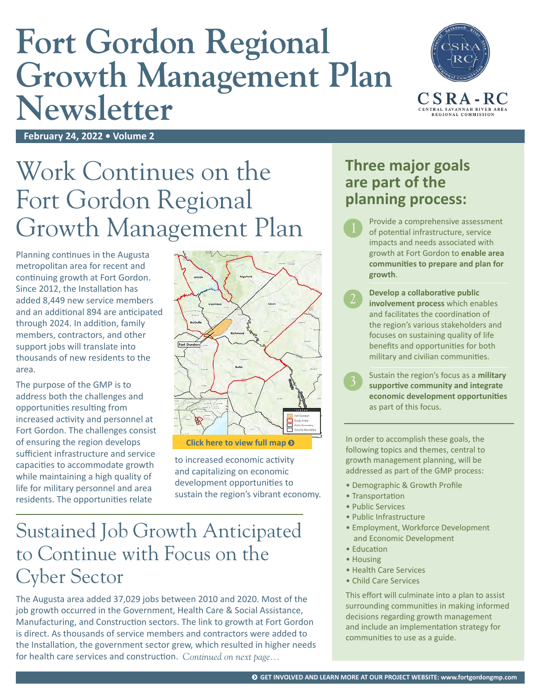# **Fort Gordon Regional Growth Management Plan Newsletter**



**February 24, 2022 • Volume 2**

## Work Continues on the Fort Gordon Regional Growth Management Plan

Planning continues in the Augusta metropolitan area for recent and continuing growth at Fort Gordon. Since 2012, the Installation has added 8,449 new service members and an additional 894 are anticipated through 2024. In addition, family members, contractors, and other support jobs will translate into thousands of new residents to the area.

The purpose of the GMP is to address both the challenges and opportunities resulting from increased activity and personnel at Fort Gordon. The challenges consist of ensuring the region develops sufficient infrastructure and service capacities to accommodate growth while maintaining a high quality of life for military personnel and area residents. The opportunities relate



**[Click here to view full map](https://www.fortgordongmp.com/about)** 

to increased economic activity and capitalizing on economic development opportunities to sustain the region's vibrant economy.

#### Sustained Job Growth Anticipated to Continue with Focus on the Cyber Sector

The Augusta area added 37,029 jobs between 2010 and 2020. Most of the job growth occurred in the Government, Health Care & Social Assistance, Manufacturing, and Construction sectors. The link to growth at Fort Gordon is direct. As thousands of service members and contractors were added to the Installation, the government sector grew, which resulted in higher needs for health care services and construction. *Continued on next page...*

#### **Three major goals are part of the planning process:**

- Provide a comprehensive assessment of potential infrastructure, service impacts and needs associated with growth at Fort Gordon to **enable area communities to prepare and plan for growth**.
- **Develop a collaborative public involvement process** which enables and facilitates the coordination of the region's various stakeholders and focuses on sustaining quality of life benefits and opportunities for both military and civilian communities.

Sustain the region's focus as a **military supportive community and integrate economic development opportunities** as part of this focus.

In order to accomplish these goals, the following topics and themes, central to growth management planning, will be addressed as part of the GMP process:

- Demographic & Growth Profile
- Transportation
- Public Services
- Public Infrastructure
- Employment, Workforce Development and Economic Development
- Education
- Housing
- Health Care Services
- Child Care Services

This effort will culminate into a plan to assist surrounding communities in making informed decisions regarding growth management and include an implementation strategy for communities to use as a guide.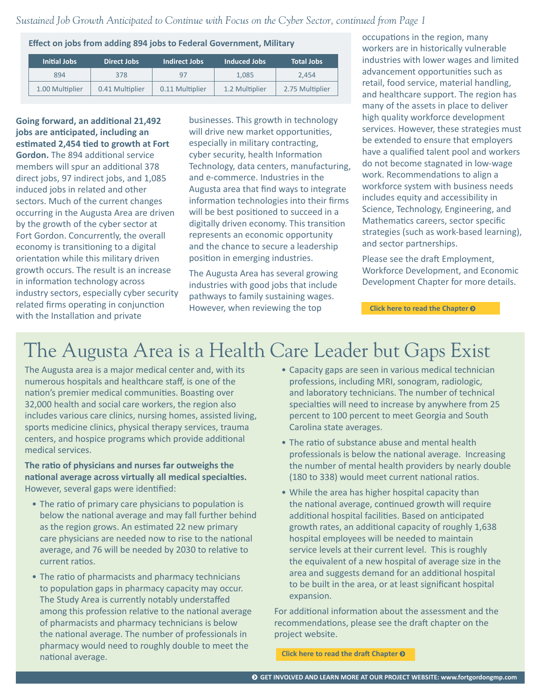*Sustained Job Growth Anticipated to Continue with Focus on the Cyber Sector, continued from Page 1*

**Effect on jobs from adding 894 jobs to Federal Government, Military**

| Initial Jobs    | Direct Jobs     | Indirect Jobs   | Induced Jobs   | <b>Total Jobs</b> |
|-----------------|-----------------|-----------------|----------------|-------------------|
| 894             | 378             | 97              | 1.085          | 2.454             |
| 1.00 Multiplier | 0.41 Multiplier | 0.11 Multiplier | 1.2 Multiplier | 2.75 Multiplier   |

**Going forward, an additional 21,492 jobs are anticipated, including an estimated 2,454 tied to growth at Fort Gordon.** The 894 additional service members will spur an additional 378 direct jobs, 97 indirect jobs, and 1,085 induced jobs in related and other sectors. Much of the current changes occurring in the Augusta Area are driven by the growth of the cyber sector at Fort Gordon. Concurrently, the overall economy is transitioning to a digital orientation while this military driven growth occurs. The result is an increase in information technology across industry sectors, especially cyber security related firms operating in conjunction with the Installation and private

businesses. This growth in technology will drive new market opportunities, especially in military contracting, cyber security, health Information Technology, data centers, manufacturing, and e-commerce. Industries in the Augusta area that find ways to integrate information technologies into their firms will be best positioned to succeed in a digitally driven economy. This transition represents an economic opportunity and the chance to secure a leadership position in emerging industries.

The Augusta Area has several growing industries with good jobs that include pathways to family sustaining wages. However, when reviewing the top

occupations in the region, many workers are in historically vulnerable industries with lower wages and limited advancement opportunities such as retail, food service, material handling, and healthcare support. The region has many of the assets in place to deliver high quality workforce development services. However, these strategies must be extended to ensure that employers have a qualified talent pool and workers do not become stagnated in low-wage work. Recommendations to align a workforce system with business needs includes equity and accessibility in Science, Technology, Engineering, and Mathematics careers, sector specific strategies (such as work-based learning), and sector partnerships.

Please see the draft Employment, Workforce Development, and Economic Development Chapter for more details.

**[Click here to read the Chapter](https://www.fortgordongmp.com/_files/ugd/3a99a7_34751db906574f02b9ce28337c7cf3da.pdf)** 

#### The Augusta Area is a Health Care Leader but Gaps Exist

The Augusta area is a major medical center and, with its numerous hospitals and healthcare staff, is one of the nation's premier medical communities. Boasting over 32,000 health and social care workers, the region also includes various care clinics, nursing homes, assisted living, sports medicine clinics, physical therapy services, trauma centers, and hospice programs which provide additional medical services.

**The ratio of physicians and nurses far outweighs the national average across virtually all medical specialties.** However, several gaps were identified:

- The ratio of primary care physicians to population is below the national average and may fall further behind as the region grows. An estimated 22 new primary care physicians are needed now to rise to the national average, and 76 will be needed by 2030 to relative to current ratios.
- The ratio of pharmacists and pharmacy technicians to population gaps in pharmacy capacity may occur. The Study Area is currently notably understaffed among this profession relative to the national average of pharmacists and pharmacy technicians is below the national average. The number of professionals in pharmacy would need to roughly double to meet the national average.
- Capacity gaps are seen in various medical technician professions, including MRI, sonogram, radiologic, and laboratory technicians. The number of technical specialties will need to increase by anywhere from 25 percent to 100 percent to meet Georgia and South Carolina state averages.
- The ratio of substance abuse and mental health professionals is below the national average. Increasing the number of mental health providers by nearly double (180 to 338) would meet current national ratios.
- While the area has higher hospital capacity than the national average, continued growth will require additional hospital facilities. Based on anticipated growth rates, an additional capacity of roughly 1,638 hospital employees will be needed to maintain service levels at their current level. This is roughly the equivalent of a new hospital of average size in the area and suggests demand for an additional hospital to be built in the area, or at least significant hospital expansion.

For additional information about the assessment and the recommendations, please see the draft chapter on the project website.

**[Click here to read the draft Chapter](https://www.fortgordongmp.com/_files/ugd/3a99a7_6a5117215e374f4b82bcf00d1ae39e94.pdf)**